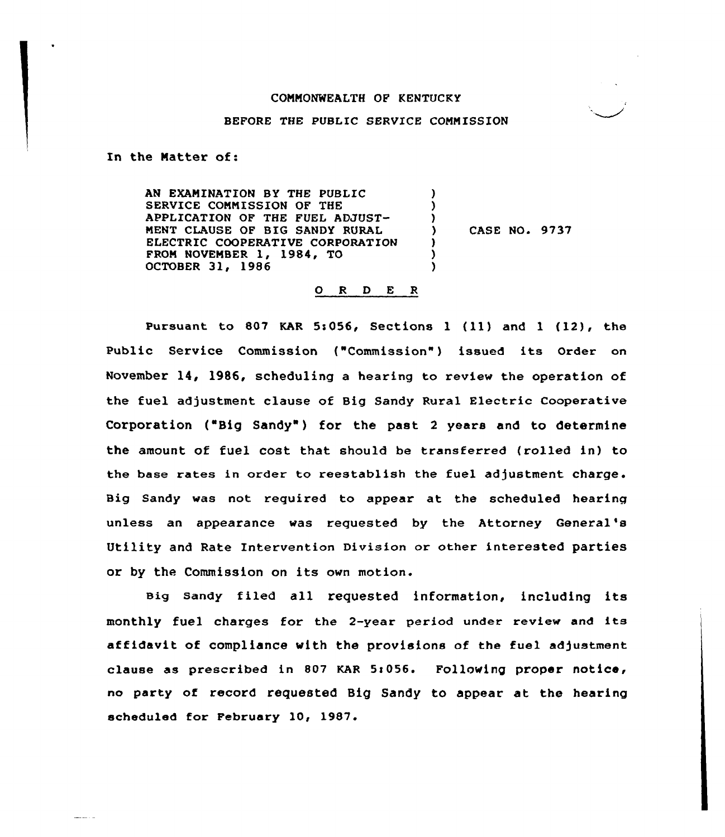#### BEFORE THE PUBLIC SERVICE CONNISSION

In the Matter of:

المواريط ويتعبر

AN EXAMINATION BY THE PUBLIC SERVICE COMMISSION OF THE APPLICATION OF THE FUEL ADJUST-NENT CLAUSE OF BIG SANDY RURAL ELECTRIC COOPERATIVE CORPORATION FROM NOVEMBER 1, 1984, TO OCTOBER 31, 1986 ) ) )<br>) ) CASE NO. 9737 ) ) )

#### O R D E R

Pursuant to <sup>807</sup> KAR 5s056, Sections <sup>1</sup> (ll) and <sup>1</sup> (12), the Public Service Commission ("Commission") issued its Order on November 14, 1986, scheduling a hearing to review the operation of the fuel adjustment clause of Big Sandy Rural Electric Cooperative Corporation ("Big Sandy") for the past 2 years and to determine the amount of fuel cost that should be transferred (rolled in) to the base rates in order to reestablish the fuel adjustment charge. Big Sandy was not required to appear at the scheduled hearing unless an appearance was requested by the Attorney General' Utility and Rate Intervention Division or other interested parties or by the. Commission on its own motion.

Big Sandy filed all requested information, including its monthly fuel charges for the 2-year period under review and its affidavit of compliance with the provisions of the fuel adjustment clause as prescribed in 807 KAR 5:056. Following proper notice, no party of record requested Big Sandy to appear at the hearing scheduled for February 10, 1987.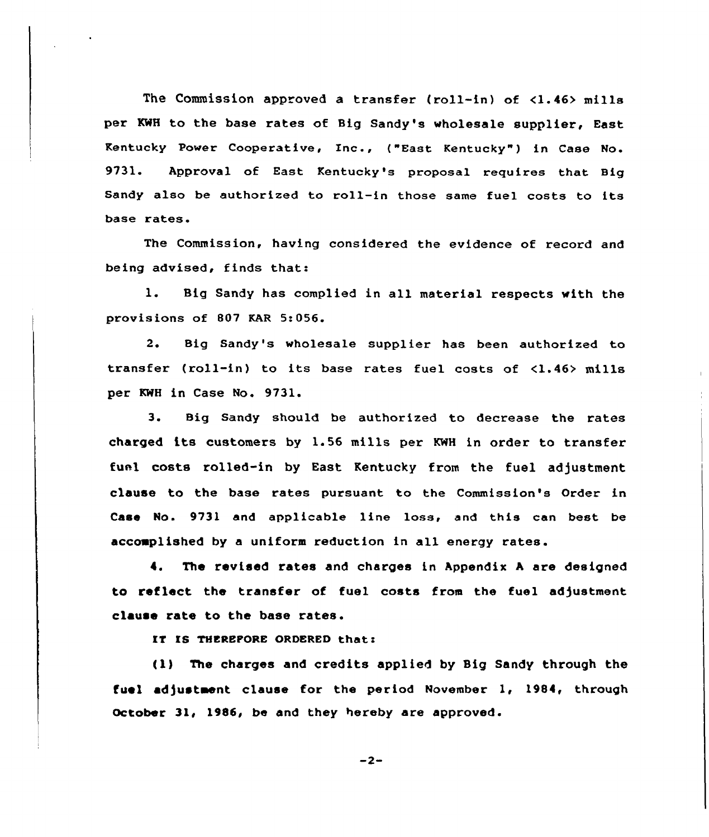The Commission approved a transfer (roll-in) of <1.46> mills per KWH to the base rates of Big Sandy's wholesale supplier, East Kentucky Power Cooperative< Inc., ("East Kentucky" ) in Case No. 9731. Approval of East Kentucky's proposal requires that Big Sandy also be authorized to roll-in those same fuel costs to its base rates.

Commission, having considered the evidence of record and being advised, finds that:

1. Big Sandy has complied in all material respects with the provisions of 807 KAR 5:056.

2. Big Sandy's wholesale supplier has been authorized to transfer (roll-in) to its base rates fuel costs of <1.46> mills per KWH in Case No. 9731.

3. Big Sandy should be authorized to decrease the rates charged its customers by 1.56 mills per KWH in order to transfer fuel costs rolled-in by East Kentucky from the fuel adjustment clause to the base rates pursuant to the Commission's Order in Case No. 9731 and applicable line loss, and this can best be accomplished by a uniform reduction in all energy rates.

The revised rates and charges in Appendix <sup>A</sup> are designed  $\ddot{\bullet}$ . to reflect the transfer of fuel costs from the fuel ad)ustment clause rate to the base rates.

IT IS THEREPORE ORDERED that:

(1) The charges and credits applied by Big Sandy through the fuel adjustment clause for the period November 1, 1984, through October 31, 1986, be and they hereby are approved.

 $-2-$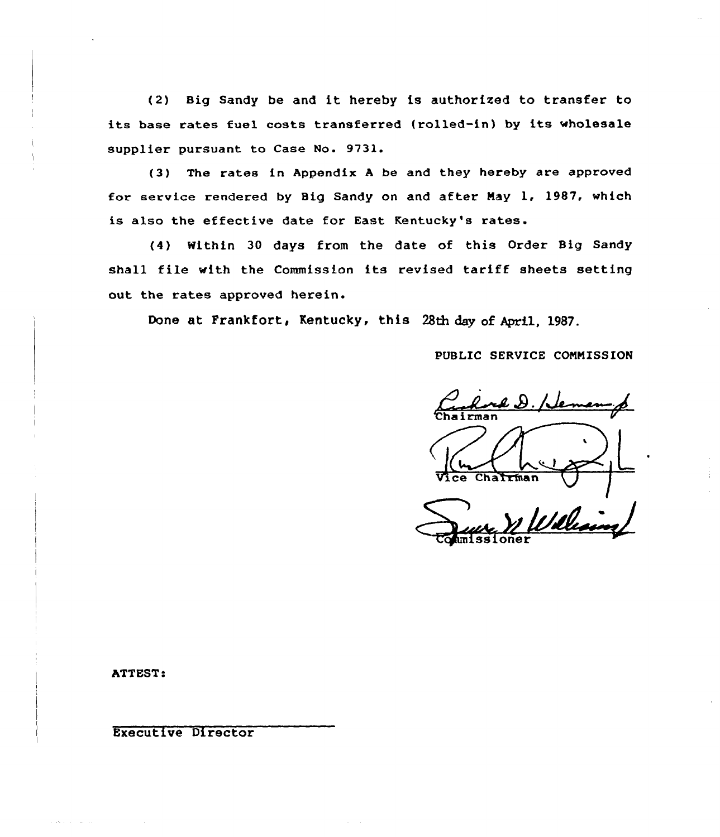(2) Big Sandy be and it hereby is authorized to transfer to its base rates fuel casts transferred (rolled-in) by its wholesale supplier pursuant to Case No. 9731.

(3) The rates in Appendix <sup>A</sup> be and they hereby are approved for service rendered by Big Sandy on and after May 1, 1987, which is also the effective date for East Kentucky's rates.

(4) Within 30 days from the date of this Order Big Sandy shall file with the Commission its revised tariff sheets setting out the rates approved herein.

Done at Frankfort, Kentucky, this 28th day of April, 1987.

PUBLIC SERVICE COMNISSION

Rock D. Neman p  $Chat$ 

ATTEST:

Executive Directar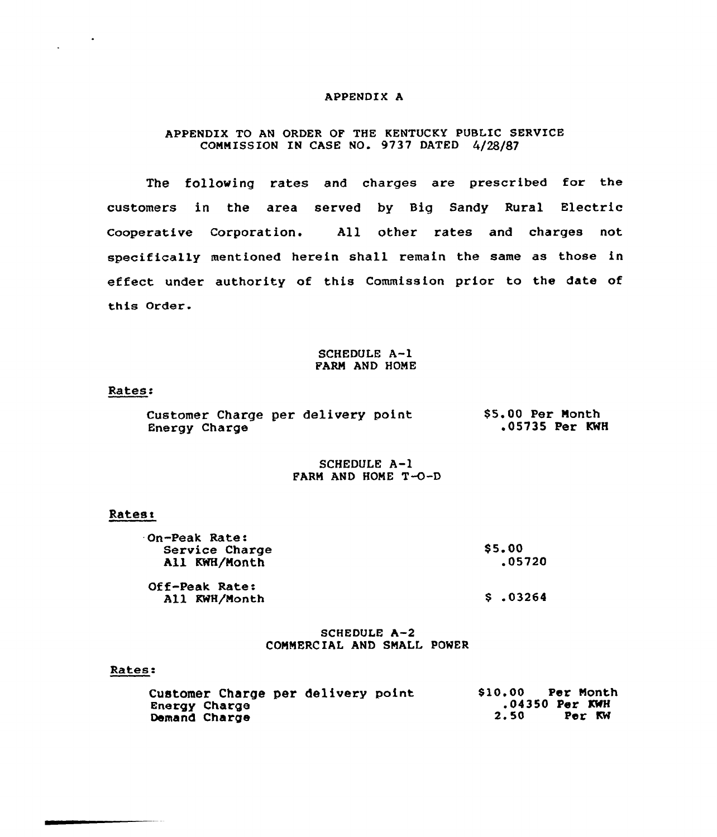## APPENDIX A

# APPENDIX TO AN ORDER OF THE KENTUCKY PUBLIC SERVICE COMMISSION IN CASE NO. 9737 DATED 4/28/87

The following rates and charges are prescribed for the customers in the area served by Big Sandy Rural Electric Cooperative Corporation. All other rates and charges not specifically mentioned herein shall remain the same as those in effect under authority of this Commission prior to the date of this Order.

# SCHEDULE A-1 FARM AND HOME

### Rates:

|               |  | Customer Charge per delivery point | \$5.00 Per Month |  |                |  |
|---------------|--|------------------------------------|------------------|--|----------------|--|
| Energy Charge |  |                                    |                  |  | .05735 Per KWH |  |

# SCHEDULE A-1 FARM AND HOME T-O-D

#### **Rates:**

| <b>On-Peak Rate:</b><br>Service Charge<br>All KWH/Month | <b>S5.00</b><br>.05720 |  |  |
|---------------------------------------------------------|------------------------|--|--|
| Off-Peak Rate:<br>All KWH/Month                         | \$.03264               |  |  |

## SCHEDULE A-2 COMMERCIAL AND SMALL POWER

### Rates:

| Customer Charge per delivery point | \$10.00 | Per Month        |
|------------------------------------|---------|------------------|
| <b>Eneray Charge</b>               |         | $.04350$ Per KWH |
| Demand Charge                      | 2.50    | Per KW           |